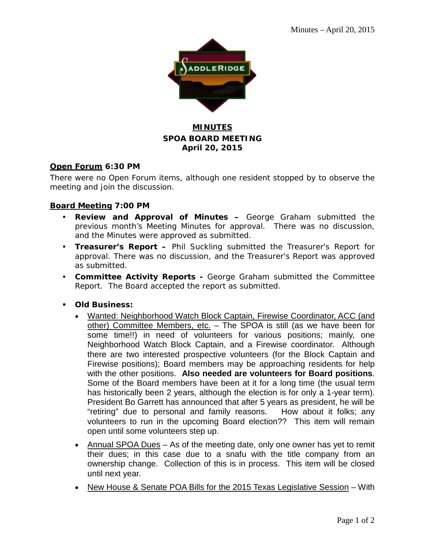

## **MINUTES SPOA BOARD MEETING April 20, 2015**

#### **Open Forum 6:30 PM**

There were no Open Forum items, although one resident stopped by to observe the meeting and join the discussion.

#### **Board Meeting 7:00 PM**

- **Review and Approval of Minutes –** George Graham submitted the previous month's Meeting Minutes for approval. There was no discussion, and the Minutes were approved as submitted.
- **Treasurer's Report –** Phil Suckling submitted the Treasurer's Report for approval. There was no discussion, and the Treasurer's Report was approved as submitted.
- **Committee Activity Reports -** George Graham submitted the Committee Report. The Board accepted the report as submitted.
- **Old Business:**
	- Wanted: Neighborhood Watch Block Captain, Firewise Coordinator, ACC (and other) Committee Members, etc. - The SPOA is still (as we have been for some time!!) in need of volunteers for various positions; mainly, one Neighborhood Watch Block Captain, and a Firewise coordinator. Although there are two interested prospective volunteers (for the Block Captain and Firewise positions); Board members may be approaching residents for help with the other positions. **Also needed are volunteers for Board positions**. Some of the Board members have been at it for a long time (the usual term has historically been 2 years, although the election is for only a 1-year term). President Bo Garrett has announced that after 5 years as president, he will be "retiring" due to personal and family reasons. How about it folks; any volunteers to run in the upcoming Board election?? This item will remain open until some volunteers step up.
	- Annual SPOA Dues As of the meeting date, only one owner has yet to remit their dues; in this case due to a snafu with the title company from an ownership change. Collection of this is in process. This item will be closed until next year.
	- New House & Senate POA Bills for the 2015 Texas Legislative Session With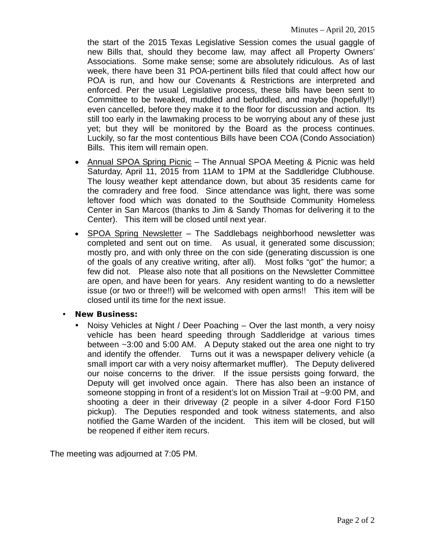the start of the 2015 Texas Legislative Session comes the usual gaggle of new Bills that, should they become law, may affect all Property Owners' Associations. Some make sense; some are absolutely ridiculous. As of last week, there have been 31 POA-pertinent bills filed that could affect how our POA is run, and how our Covenants & Restrictions are interpreted and enforced. Per the usual Legislative process, these bills have been sent to Committee to be tweaked, muddled and befuddled, and maybe (hopefully!!) even cancelled, before they make it to the floor for discussion and action. Its still too early in the lawmaking process to be worrying about any of these just yet; but they will be monitored by the Board as the process continues. Luckily, so far the most contentious Bills have been COA (Condo Association) Bills. This item will remain open.

- Annual SPOA Spring Picnic The Annual SPOA Meeting & Picnic was held Saturday, April 11, 2015 from 11AM to 1PM at the Saddleridge Clubhouse. The lousy weather kept attendance down, but about 35 residents came for the comradery and free food. Since attendance was light, there was some leftover food which was donated to the Southside Community Homeless Center in San Marcos (thanks to Jim & Sandy Thomas for delivering it to the Center). This item will be closed until next year.
- SPOA Spring Newsletter The Saddlebags neighborhood newsletter was completed and sent out on time. As usual, it generated some discussion; mostly pro, and with only three on the con side (generating discussion is one of the goals of any creative writing, after all). Most folks "got" the humor; a few did not. Please also note that all positions on the Newsletter Committee are open, and have been for years. Any resident wanting to do a newsletter issue (or two or three!!) will be welcomed with open arms!! This item will be closed until its time for the next issue.
- **New Business:**
	- Noisy Vehicles at Night / Deer Poaching Over the last month, a very noisy vehicle has been heard speeding through Saddleridge at various times between ~3:00 and 5:00 AM. A Deputy staked out the area one night to try and identify the offender. Turns out it was a newspaper delivery vehicle (a small import car with a very noisy aftermarket muffler). The Deputy delivered our noise concerns to the driver. If the issue persists going forward, the Deputy will get involved once again. There has also been an instance of someone stopping in front of a resident's lot on Mission Trail at ~9:00 PM, and shooting a deer in their driveway (2 people in a silver 4-door Ford F150 pickup). The Deputies responded and took witness statements, and also notified the Game Warden of the incident. This item will be closed, but will be reopened if either item recurs.

The meeting was adjourned at 7:05 PM.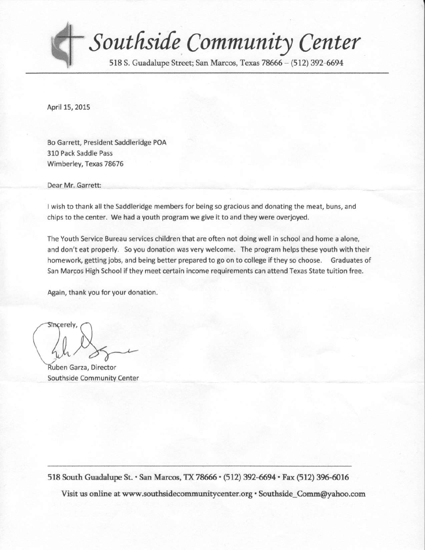

Southside Community Center

518 S. Guadalupe Street; San Marcos, Texas 78666 - (512) 392-6694

April 15,2015

Bo Garrett, President Saddleridge POA 310 Pack Saddle Pass wimberlev, Texas 78676

Dear Mr. Garrett:

I wish to thank all the Saddleridge members for being so gracious and donating the meat, buns, and chips to the center. We had a youth program we give it to and they were overjoyed.

The Youth Service Bureau services children that are often not doing well in school and home a alone, and don't eat properly. So you donation was very welcome. The program helps these youth with their homework, getting jobs, and being better prepared to go on to college if they so choose. Graduates of San Marcos High School if they meet certain income requirements can attend Texas State tuition free.

Again, thank you for your donation.

Stncerely,

uben Garza, Director Southside Community Center

518 South Guadalupe St. · San Marcos, TX 78666 · (512) 392-6694 · Fax (512) 396-6016

Visit us online at www.southsidecommunitycenter.org · Southside\_Comm@yahoo.com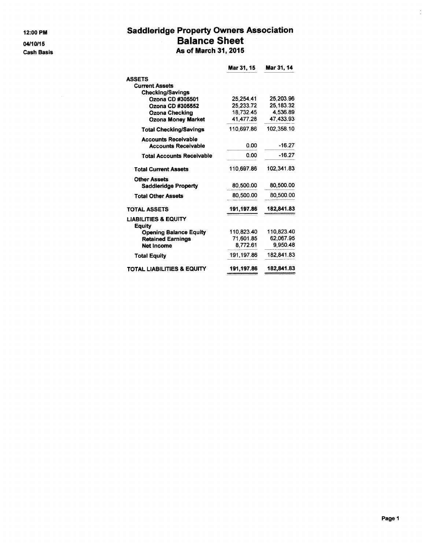12:00 PM 04/10/15 **Cash Basis** 

## **Saddleridge Property Owners Association Balance Sheet** As of March 31, 2015

| Mar 31, 15 | Mar 31, 14                      |
|------------|---------------------------------|
|            |                                 |
|            |                                 |
|            |                                 |
| 25.254.41  | 25.203.96                       |
| 25.233.72  | 25,183.32                       |
| 18,732.45  | 4.536.89                        |
| 41,477.28  | 47.433.93                       |
| 110,697.86 | 102.358.10                      |
|            | $-16.27$                        |
|            |                                 |
| 0.00       | $-16.27$                        |
| 110.697.86 | 102,341.83                      |
|            | 80,500.00                       |
| 80.500.00  | 80,500.00                       |
|            |                                 |
|            | 182,841.83                      |
|            |                                 |
| 110.823.40 | 110,823.40                      |
| 71,601.85  | 62,067.95                       |
| 8,772.61   | 9,950.48                        |
| 191,197.86 | 182,841.83                      |
| 191.197.86 | 182,841.83                      |
|            | 0.00<br>80,500.00<br>191,197.86 |

 $\frac{1}{2}$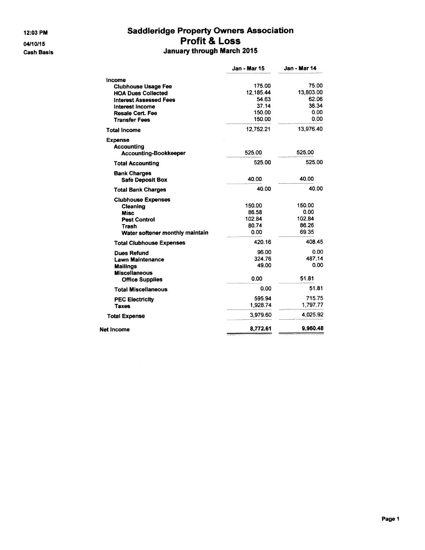12:03 PM 04/10/15 **Cash Basis** 

## **Saddleridge Property Owners Association** Profit & Loss January through March 2015

|                                                                                                                                                                                 | Jan - Mar 15                                              | Jan - Mar 14                                         |
|---------------------------------------------------------------------------------------------------------------------------------------------------------------------------------|-----------------------------------------------------------|------------------------------------------------------|
| Income<br><b>Clubhouse Usage Fee</b><br><b>HOA Dues Collected</b><br><b>Interest Assessed Fees</b><br><b>Interest Income</b><br><b>Resale Cert. Fee</b><br><b>Transfer Fees</b> | 175.00<br>12.185.44<br>54.63<br>37.14<br>150.00<br>150.00 | 75.00<br>13.803.00<br>62.06<br>36.34<br>0.00<br>0.00 |
| <b>Total Income</b>                                                                                                                                                             | 12,752.21                                                 | 13,976.40                                            |
| <b>Expense</b><br><b>Accounting</b><br><b>Accounting-Bookkeeper</b>                                                                                                             | 525.00                                                    | 525.00                                               |
| <b>Total Accounting</b>                                                                                                                                                         | 525.00                                                    | 525.00                                               |
| <b>Bank Charges</b><br><b>Safe Deposit Box</b>                                                                                                                                  | 40.00                                                     | 40.00                                                |
| <b>Total Bank Charges</b>                                                                                                                                                       | 40.00                                                     | 40.00                                                |
| <b>Clubhouse Expenses</b><br>Cleaning<br><b>Misc</b><br><b>Pest Control</b><br>Trash<br>Water softener monthly maintain                                                         | 150.00<br>86.58<br>102.84<br>80.74<br>0.00                | 150.00<br>0.00<br>102.84<br>86.26<br>69.35           |
| <b>Total Clubhouse Expenses</b>                                                                                                                                                 | 420.16                                                    | 408.45                                               |
| <b>Dues Refund</b><br><b>Lawn Maintenance</b><br><b>Mailings</b><br><b>Miscellaneous</b><br><b>Office Supplies</b>                                                              | 96.00<br>324.76<br>49.00<br>0.00                          | 0.00<br>487.14<br>0.00<br>51.81                      |
| <b>Total Miscellaneous</b>                                                                                                                                                      | 0.00                                                      | 51.81                                                |
| <b>PEC Electricity</b><br><b>Taxes</b>                                                                                                                                          | 595.94<br>1,928.74                                        | 715.75<br>1,797.77                                   |
| <b>Total Expense</b>                                                                                                                                                            | 3.979.60                                                  | 4.025.92                                             |
| Net Income                                                                                                                                                                      | 8,772.61                                                  | 9.950.48                                             |